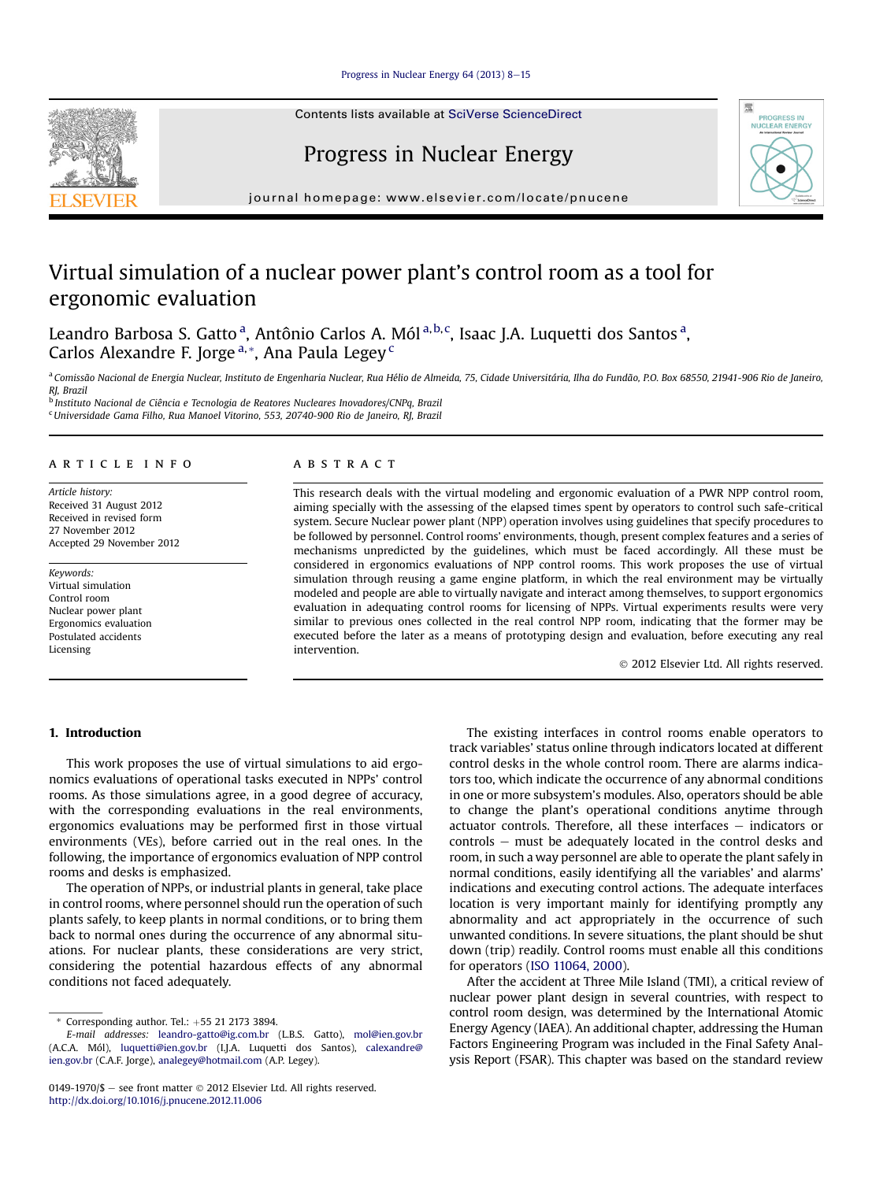## [Progress in Nuclear Energy 64 \(2013\) 8](http://dx.doi.org/10.1016/j.pnucene.2012.11.006)-[15](http://dx.doi.org/10.1016/j.pnucene.2012.11.006)

Contents lists available at SciVerse ScienceDirect

## Progress in Nuclear Energy



journal homepage: [www.elsevier.com/locate/pnucene](http://www.elsevier.com/locate/pnucene)

## Virtual simulation of a nuclear power plant's control room as a tool for ergonomic evaluation

Leandro Barbosa S. Gatto<sup>a</sup>, Antônio Carlos A. Mól<sup>a,b,c</sup>, Isaac J.A. Luquetti dos Santos<sup>a</sup>, Carlos Alexandre F. Jorge<sup>a,\*</sup>, Ana Paula Legey<sup>c</sup>

a Comissão Nacional de Energia Nuclear, Instituto de Engenharia Nuclear, Rua Hélio de Almeida, 75, Cidade Universitária, Ilha do Fundão, P.O. Box 68550, 21941-906 Rio de Janeiro, RJ, Brazil

<sup>b</sup> Instituto Nacional de Ciência e Tecnologia de Reatores Nucleares Inovadores/CNPq, Brazil  $c$ Universidade Gama Filho, Rua Manoel Vitorino, 553, 20740-900 Rio de Janeiro, RJ, Brazil

## article info

Article history: Received 31 August 2012 Received in revised form 27 November 2012 Accepted 29 November 2012

Keywords: Virtual simulation Control room Nuclear power plant Ergonomics evaluation Postulated accidents Licensing

## **ABSTRACT**

This research deals with the virtual modeling and ergonomic evaluation of a PWR NPP control room, aiming specially with the assessing of the elapsed times spent by operators to control such safe-critical system. Secure Nuclear power plant (NPP) operation involves using guidelines that specify procedures to be followed by personnel. Control rooms' environments, though, present complex features and a series of mechanisms unpredicted by the guidelines, which must be faced accordingly. All these must be considered in ergonomics evaluations of NPP control rooms. This work proposes the use of virtual simulation through reusing a game engine platform, in which the real environment may be virtually modeled and people are able to virtually navigate and interact among themselves, to support ergonomics evaluation in adequating control rooms for licensing of NPPs. Virtual experiments results were very similar to previous ones collected in the real control NPP room, indicating that the former may be executed before the later as a means of prototyping design and evaluation, before executing any real intervention.

2012 Elsevier Ltd. All rights reserved.

## 1. Introduction

This work proposes the use of virtual simulations to aid ergonomics evaluations of operational tasks executed in NPPs' control rooms. As those simulations agree, in a good degree of accuracy, with the corresponding evaluations in the real environments, ergonomics evaluations may be performed first in those virtual environments (VEs), before carried out in the real ones. In the following, the importance of ergonomics evaluation of NPP control rooms and desks is emphasized.

The operation of NPPs, or industrial plants in general, take place in control rooms, where personnel should run the operation of such plants safely, to keep plants in normal conditions, or to bring them back to normal ones during the occurrence of any abnormal situations. For nuclear plants, these considerations are very strict, considering the potential hazardous effects of any abnormal conditions not faced adequately.

The existing interfaces in control rooms enable operators to track variables' status online through indicators located at different control desks in the whole control room. There are alarms indicators too, which indicate the occurrence of any abnormal conditions in one or more subsystem's modules. Also, operators should be able to change the plant's operational conditions anytime through actuator controls. Therefore, all these interfaces  $-$  indicators or  $controls - must be adequately located in the control desks and$ room, in such a way personnel are able to operate the plant safely in normal conditions, easily identifying all the variables' and alarms' indications and executing control actions. The adequate interfaces location is very important mainly for identifying promptly any abnormality and act appropriately in the occurrence of such unwanted conditions. In severe situations, the plant should be shut down (trip) readily. Control rooms must enable all this conditions for operators [\(ISO 11064, 2000\)](#page--1-0).

After the accident at Three Mile Island (TMI), a critical review of nuclear power plant design in several countries, with respect to control room design, was determined by the International Atomic Energy Agency (IAEA). An additional chapter, addressing the Human Factors Engineering Program was included in the Final Safety Analysis Report (FSAR). This chapter was based on the standard review



 $*$  Corresponding author. Tel.:  $+55$  21 2173 3894.

E-mail addresses: [leandro-gatto@ig.com.br](mailto:leandro-gatto@ig.com.br) (L.B.S. Gatto), [mol@ien.gov.br](mailto:mol@ien.gov.br) (A.C.A. Mól), [luquetti@ien.gov.br](mailto:luquetti@ien.gov.br) (I.J.A. Luquetti dos Santos), [calexandre@](mailto:calexandre@ien.gov.br) [ien.gov.br](mailto:calexandre@ien.gov.br) (C.A.F. Jorge), [analegey@hotmail.com](mailto:analegey@hotmail.com) (A.P. Legey).

<sup>0149-1970/\$</sup>  $-$  see front matter  $\odot$  2012 Elsevier Ltd. All rights reserved. <http://dx.doi.org/10.1016/j.pnucene.2012.11.006>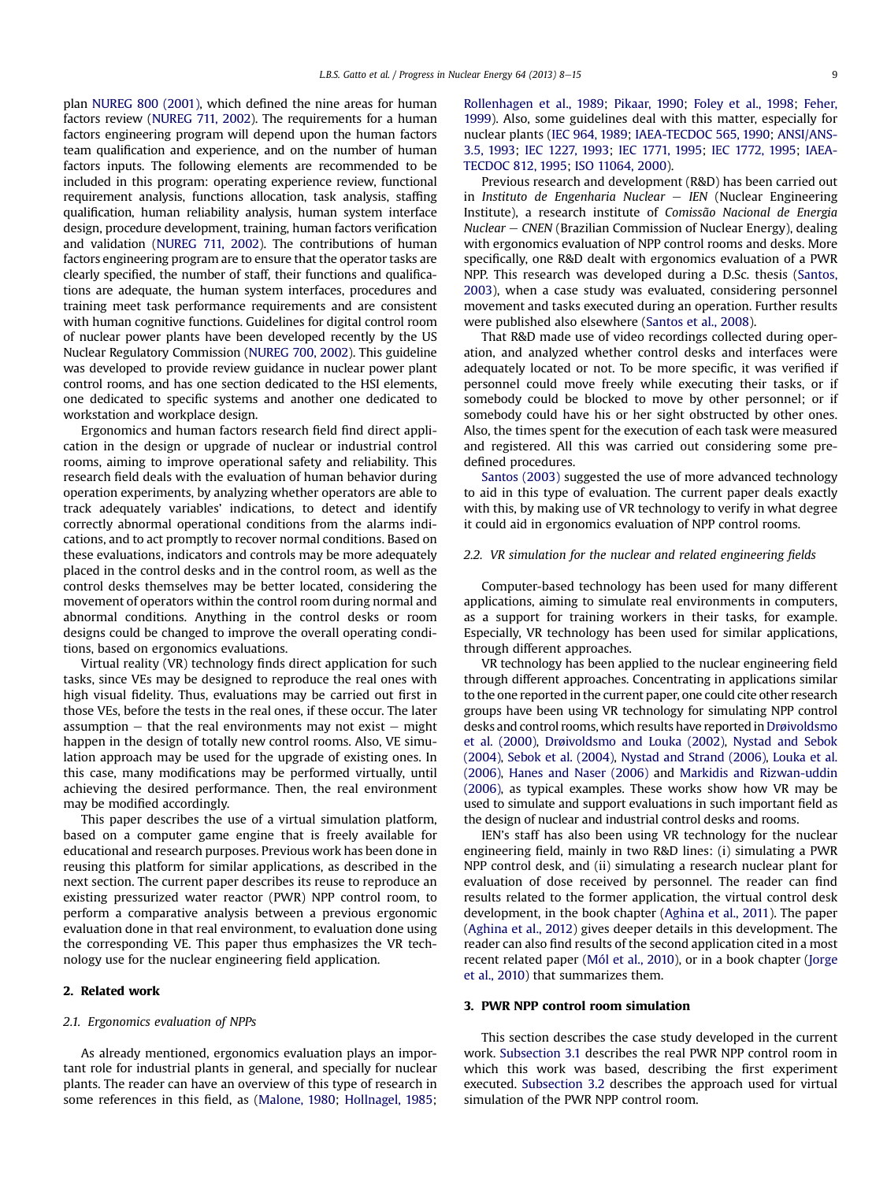plan [NUREG 800 \(2001\)](#page--1-0), which defined the nine areas for human factors review [\(NUREG 711, 2002](#page--1-0)). The requirements for a human factors engineering program will depend upon the human factors team qualification and experience, and on the number of human factors inputs. The following elements are recommended to be included in this program: operating experience review, functional requirement analysis, functions allocation, task analysis, staffing qualification, human reliability analysis, human system interface design, procedure development, training, human factors verification and validation [\(NUREG 711, 2002\)](#page--1-0). The contributions of human factors engineering program are to ensure that the operator tasks are clearly specified, the number of staff, their functions and qualifications are adequate, the human system interfaces, procedures and training meet task performance requirements and are consistent with human cognitive functions. Guidelines for digital control room of nuclear power plants have been developed recently by the US Nuclear Regulatory Commission [\(NUREG 700, 2002\)](#page--1-0). This guideline was developed to provide review guidance in nuclear power plant control rooms, and has one section dedicated to the HSI elements, one dedicated to specific systems and another one dedicated to workstation and workplace design.

Ergonomics and human factors research field find direct application in the design or upgrade of nuclear or industrial control rooms, aiming to improve operational safety and reliability. This research field deals with the evaluation of human behavior during operation experiments, by analyzing whether operators are able to track adequately variables' indications, to detect and identify correctly abnormal operational conditions from the alarms indications, and to act promptly to recover normal conditions. Based on these evaluations, indicators and controls may be more adequately placed in the control desks and in the control room, as well as the control desks themselves may be better located, considering the movement of operators within the control room during normal and abnormal conditions. Anything in the control desks or room designs could be changed to improve the overall operating conditions, based on ergonomics evaluations.

Virtual reality (VR) technology finds direct application for such tasks, since VEs may be designed to reproduce the real ones with high visual fidelity. Thus, evaluations may be carried out first in those VEs, before the tests in the real ones, if these occur. The later assumption  $-$  that the real environments may not exist  $-$  might happen in the design of totally new control rooms. Also, VE simulation approach may be used for the upgrade of existing ones. In this case, many modifications may be performed virtually, until achieving the desired performance. Then, the real environment may be modified accordingly.

This paper describes the use of a virtual simulation platform, based on a computer game engine that is freely available for educational and research purposes. Previous work has been done in reusing this platform for similar applications, as described in the next section. The current paper describes its reuse to reproduce an existing pressurized water reactor (PWR) NPP control room, to perform a comparative analysis between a previous ergonomic evaluation done in that real environment, to evaluation done using the corresponding VE. This paper thus emphasizes the VR technology use for the nuclear engineering field application.

#### 2. Related work

## 2.1. Ergonomics evaluation of NPPs

As already mentioned, ergonomics evaluation plays an important role for industrial plants in general, and specially for nuclear plants. The reader can have an overview of this type of research in some references in this field, as ([Malone, 1980](#page--1-0); [Hollnagel, 1985;](#page--1-0) [Rollenhagen et al., 1989;](#page--1-0) [Pikaar, 1990](#page--1-0); [Foley et al., 1998](#page--1-0); [Feher,](#page--1-0) [1999\)](#page--1-0). Also, some guidelines deal with this matter, especially for nuclear plants ([IEC 964, 1989](#page--1-0); [IAEA-TECDOC 565, 1990](#page--1-0); [ANSI/ANS-](#page--1-0)[3.5, 1993](#page--1-0); [IEC 1227, 1993](#page--1-0); [IEC 1771, 1995;](#page--1-0) [IEC 1772, 1995;](#page--1-0) [IAEA-](#page--1-0)[TECDOC 812, 1995;](#page--1-0) [ISO 11064, 2000\)](#page--1-0).

Previous research and development (R&D) has been carried out in Instituto de Engenharia Nuclear  $-$  IEN (Nuclear Engineering Institute), a research institute of Comissão Nacional de Energia  $Nuclear - CNEN$  (Brazilian Commission of Nuclear Energy), dealing with ergonomics evaluation of NPP control rooms and desks. More specifically, one R&D dealt with ergonomics evaluation of a PWR NPP. This research was developed during a D.Sc. thesis ([Santos,](#page--1-0) [2003\)](#page--1-0), when a case study was evaluated, considering personnel movement and tasks executed during an operation. Further results were published also elsewhere [\(Santos et al., 2008](#page--1-0)).

That R&D made use of video recordings collected during operation, and analyzed whether control desks and interfaces were adequately located or not. To be more specific, it was verified if personnel could move freely while executing their tasks, or if somebody could be blocked to move by other personnel; or if somebody could have his or her sight obstructed by other ones. Also, the times spent for the execution of each task were measured and registered. All this was carried out considering some predefined procedures.

[Santos \(2003\)](#page--1-0) suggested the use of more advanced technology to aid in this type of evaluation. The current paper deals exactly with this, by making use of VR technology to verify in what degree it could aid in ergonomics evaluation of NPP control rooms.

## 2.2. VR simulation for the nuclear and related engineering fields

Computer-based technology has been used for many different applications, aiming to simulate real environments in computers, as a support for training workers in their tasks, for example. Especially, VR technology has been used for similar applications, through different approaches.

VR technology has been applied to the nuclear engineering field through different approaches. Concentrating in applications similar to the one reported in the current paper, one could cite other research groups have been using VR technology for simulating NPP control desks and control rooms, which results have reported in [Drøivoldsmo](#page--1-0) [et al. \(2000\)](#page--1-0), [Drøivoldsmo and Louka \(2002\),](#page--1-0) [Nystad and Sebok](#page--1-0) [\(2004\)](#page--1-0), [Sebok et al. \(2004\)](#page--1-0), [Nystad and Strand \(2006\)](#page--1-0), [Louka et al.](#page--1-0) [\(2006\)](#page--1-0), [Hanes and Naser \(2006\)](#page--1-0) and [Markidis and Rizwan-uddin](#page--1-0) [\(2006\)](#page--1-0), as typical examples. These works show how VR may be used to simulate and support evaluations in such important field as the design of nuclear and industrial control desks and rooms.

IEN's staff has also been using VR technology for the nuclear engineering field, mainly in two R&D lines: (i) simulating a PWR NPP control desk, and (ii) simulating a research nuclear plant for evaluation of dose received by personnel. The reader can find results related to the former application, the virtual control desk development, in the book chapter ([Aghina et al., 2011\)](#page--1-0). The paper ([Aghina et al., 2012\)](#page--1-0) gives deeper details in this development. The reader can also find results of the second application cited in a most recent related paper [\(Mól et al., 2010\)](#page--1-0), or in a book chapter [\(Jorge](#page--1-0) [et al., 2010](#page--1-0)) that summarizes them.

## 3. PWR NPP control room simulation

This section describes the case study developed in the current work. [Subsection 3.1](#page--1-0) describes the real PWR NPP control room in which this work was based, describing the first experiment executed. [Subsection 3.2](#page--1-0) describes the approach used for virtual simulation of the PWR NPP control room.